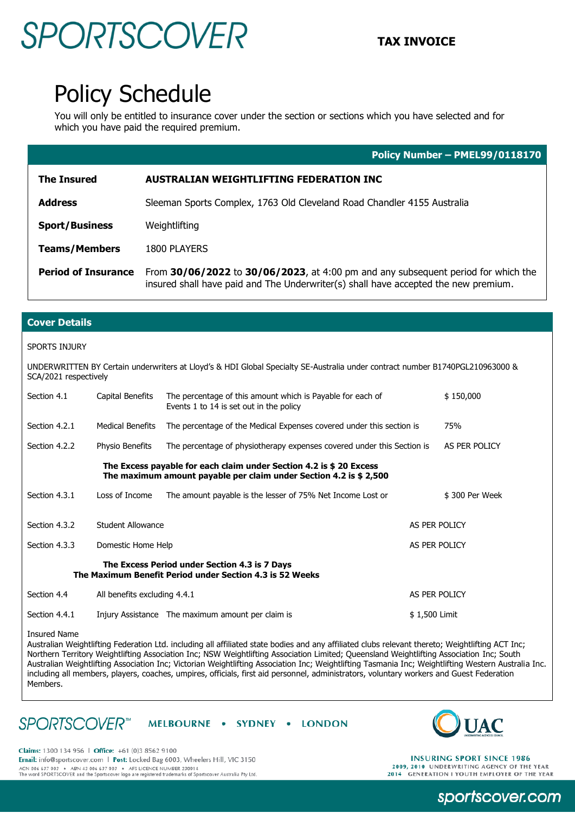## SPORTSCOVER **TAX INVOICE**

### Policy Schedule

You will only be entitled to insurance cover under the section or sections which you have selected and for which you have paid the required premium.

|                            | Policy Number - PMEL99/0118170                                                                                                                                           |
|----------------------------|--------------------------------------------------------------------------------------------------------------------------------------------------------------------------|
| <b>The Insured</b>         | <b>AUSTRALIAN WEIGHTLIFTING FEDERATION INC</b>                                                                                                                           |
| <b>Address</b>             | Sleeman Sports Complex, 1763 Old Cleveland Road Chandler 4155 Australia                                                                                                  |
| <b>Sport/Business</b>      | Weightlifting                                                                                                                                                            |
| <b>Teams/Members</b>       | <b>1800 PLAYERS</b>                                                                                                                                                      |
| <b>Period of Insurance</b> | From 30/06/2022 to 30/06/2023, at 4:00 pm and any subsequent period for which the<br>insured shall have paid and The Underwriter(s) shall have accepted the new premium. |

### **Cover Details**

#### SPORTS INJURY

UNDERWRITTEN BY Certain underwriters at Lloyd's & HDI Global Specialty SE-Australia under contract number B1740PGL210963000 & SCA/2021 respectively

| Section 4.1   | Capital Benefits             | The percentage of this amount which is Payable for each of<br>Events 1 to 14 is set out in the policy                                   |               | \$150,000      |  |
|---------------|------------------------------|-----------------------------------------------------------------------------------------------------------------------------------------|---------------|----------------|--|
| Section 4.2.1 | <b>Medical Benefits</b>      | The percentage of the Medical Expenses covered under this section is                                                                    |               | 75%            |  |
| Section 4.2.2 | Physio Benefits              | The percentage of physiotherapy expenses covered under this Section is                                                                  |               | AS PER POLICY  |  |
|               |                              | The Excess payable for each claim under Section 4.2 is \$20 Excess<br>The maximum amount payable per claim under Section 4.2 is \$2,500 |               |                |  |
| Section 4.3.1 | Loss of Income               | The amount payable is the lesser of 75% Net Income Lost or                                                                              |               | \$300 Per Week |  |
| Section 4.3.2 | Student Allowance            |                                                                                                                                         |               | AS PER POLICY  |  |
| Section 4.3.3 | Domestic Home Help           |                                                                                                                                         |               | AS PER POLICY  |  |
|               |                              | The Excess Period under Section 4.3 is 7 Days<br>The Maximum Benefit Period under Section 4.3 is 52 Weeks                               |               |                |  |
| Section 4.4   | All benefits excluding 4.4.1 |                                                                                                                                         |               | AS PER POLICY  |  |
| Section 4.4.1 |                              | Injury Assistance The maximum amount per claim is                                                                                       | \$1,500 Limit |                |  |

Insured Name

Australian Weightlifting Federation Ltd. including all affiliated state bodies and any affiliated clubs relevant thereto; Weightlifting ACT Inc; Northern Territory Weightlifting Association Inc; NSW Weightlifting Association Limited; Queensland Weightlifting Association Inc; South Australian Weightlifting Association Inc; Victorian Weightlifting Association Inc; Weightlifting Tasmania Inc; Weightlifting Western Australia Inc. including all members, players, coaches, umpires, officials, first aid personnel, administrators, voluntary workers and Guest Federation Members.

#### **SPORTSCOVER**<sup>™</sup> MELBOURNE . SYDNEY . LONDON



Claims: 1300 134 956 | Office: +61 (0)3 8562 9100 Email: info@sportscover.com | Post: Locked Bag 6003, Wheelers Hill, VIC 3150 ACCORDINATION AND THE STATE OF A STATE OF A STATE OF A STATE OF A STATE OF A STATE OF A STATE OF A STATE OF A STATE OF A STATE OF A STATE OF A STATE OF A STATE OF A STATE OF A STATE OF A STATE OF A STATE OF A STATE OF A ST

**INSURING SPORT SINCE 1986** 2009, 2010 UNDERWRITING AGENCY OF THE YEAR<br>2014 GENERATION I YOUTH EMPLOYER OF THE YEAR

sportscover.com